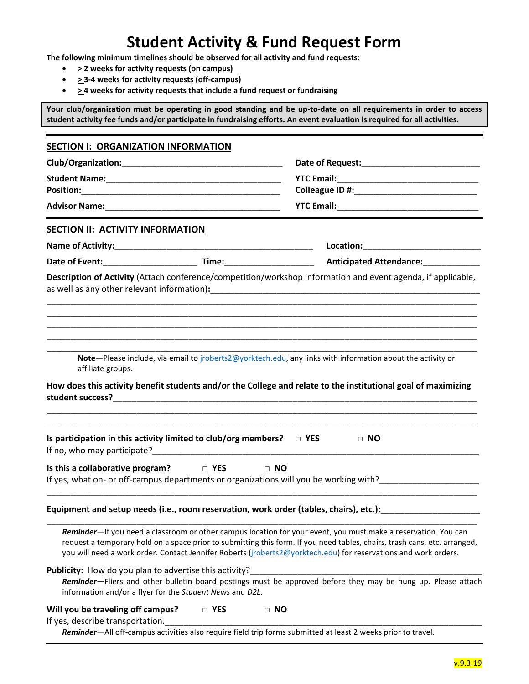## **Student Activity & Fund Request Form**

**The following minimum timelines should be observed for all activity and fund requests:**

- **> 2 weeks for activity requests (on campus)**
- **> 3-4 weeks for activity requests (off-campus)**
- **> 4 weeks for activity requests that include a fund request or fundraising**

**Your club/organization must be operating in good standing and be up-to-date on all requirements in order to access student activity fee funds and/or participate in fundraising efforts. An event evaluation is required for all activities.**

| <b>SECTION I: ORGANIZATION INFORMATION</b>                                                                         |            |                                                                                                                                                                                                                                                                                                                                                                |  |  |
|--------------------------------------------------------------------------------------------------------------------|------------|----------------------------------------------------------------------------------------------------------------------------------------------------------------------------------------------------------------------------------------------------------------------------------------------------------------------------------------------------------------|--|--|
|                                                                                                                    |            |                                                                                                                                                                                                                                                                                                                                                                |  |  |
|                                                                                                                    |            |                                                                                                                                                                                                                                                                                                                                                                |  |  |
|                                                                                                                    |            |                                                                                                                                                                                                                                                                                                                                                                |  |  |
|                                                                                                                    |            |                                                                                                                                                                                                                                                                                                                                                                |  |  |
| <b>SECTION II: ACTIVITY INFORMATION</b>                                                                            |            |                                                                                                                                                                                                                                                                                                                                                                |  |  |
|                                                                                                                    |            |                                                                                                                                                                                                                                                                                                                                                                |  |  |
|                                                                                                                    |            | Date of Event:_____________________________Time:_________________________________ Anticipated Attendance:____________                                                                                                                                                                                                                                          |  |  |
|                                                                                                                    |            | Description of Activity (Attach conference/competition/workshop information and event agenda, if applicable,                                                                                                                                                                                                                                                   |  |  |
| affiliate groups.                                                                                                  |            | Note-Please include, via email to jroberts2@yorktech.edu, any links with information about the activity or<br>How does this activity benefit students and/or the College and relate to the institutional goal of maximizing                                                                                                                                    |  |  |
| Is participation in this activity limited to club/org members? $\Box$ YES                                          |            | $\Box$ NO                                                                                                                                                                                                                                                                                                                                                      |  |  |
| Is this a collaborative program? $\Box$ YES $\Box$ NO                                                              |            |                                                                                                                                                                                                                                                                                                                                                                |  |  |
|                                                                                                                    |            | Equipment and setup needs (i.e., room reservation, work order (tables, chairs), etc.):                                                                                                                                                                                                                                                                         |  |  |
|                                                                                                                    |            | Reminder-If you need a classroom or other campus location for your event, you must make a reservation. You can<br>request a temporary hold on a space prior to submitting this form. If you need tables, chairs, trash cans, etc. arranged,<br>you will need a work order. Contact Jennifer Roberts (jroberts2@yorktech.edu) for reservations and work orders. |  |  |
| Publicity: How do you plan to advertise this activity?<br>information and/or a flyer for the Student News and D2L. |            | Reminder-Fliers and other bulletin board postings must be approved before they may be hung up. Please attach                                                                                                                                                                                                                                                   |  |  |
| Will you be traveling off campus?<br>If yes, describe transportation.                                              | $\Box$ YES | $\Box$ NO<br>Reminder-All off-campus activities also require field trip forms submitted at least 2 weeks prior to travel.                                                                                                                                                                                                                                      |  |  |